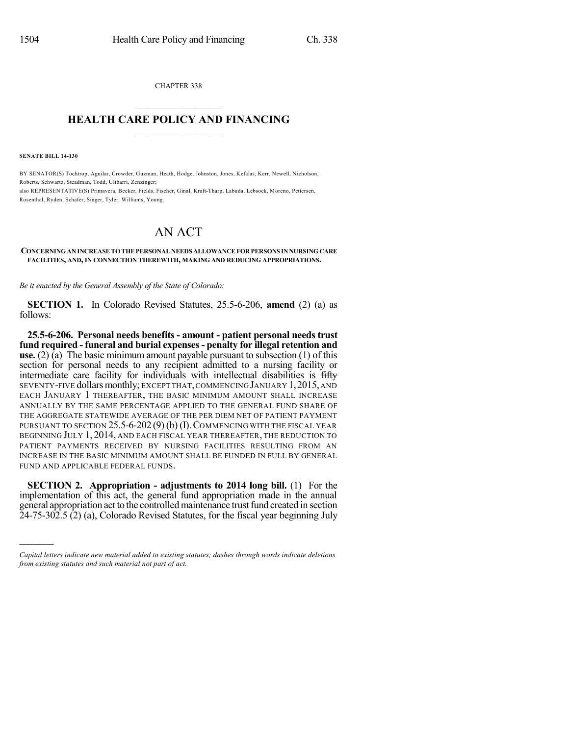CHAPTER 338  $\overline{\phantom{a}}$  . The set of the set of the set of the set of the set of the set of the set of the set of the set of the set of the set of the set of the set of the set of the set of the set of the set of the set of the set o

## **HEALTH CARE POLICY AND FINANCING**  $\_$   $\_$   $\_$   $\_$   $\_$   $\_$   $\_$   $\_$

**SENATE BILL 14-130**

)))))

BY SENATOR(S) Tochtrop, Aguilar, Crowder, Guzman, Heath, Hodge, Johnston, Jones, Kefalas, Kerr, Newell, Nicholson, Roberts, Schwartz, Steadman, Todd, Ulibarri, Zenzinger; also REPRESENTATIVE(S) Primavera, Becker, Fields, Fischer, Ginal, Kraft-Tharp, Labuda, Lebsock, Moreno, Pettersen, Rosenthal, Ryden, Schafer, Singer, Tyler, Williams, Young.

## AN ACT

## **CONCERNINGAN INCREASETOTHEPERSONALNEEDS ALLOWANCEFORPERSONS INNURSINGCARE FACILITIES, AND, IN CONNECTION THEREWITH, MAKING AND REDUCING APPROPRIATIONS.**

*Be it enacted by the General Assembly of the State of Colorado:*

**SECTION 1.** In Colorado Revised Statutes, 25.5-6-206, **amend** (2) (a) as follows:

**25.5-6-206. Personal needs benefits - amount - patient personal needs trust fund required - funeral and burial expenses- penalty for illegal retention and use.** (2) (a) The basic minimum amount payable pursuant to subsection (1) of this section for personal needs to any recipient admitted to a nursing facility or intermediate care facility for individuals with intellectual disabilities is fifty SEVENTY-FIVE dollars monthly; EXCEPT THAT, COMMENCING JANUARY 1, 2015, AND EACH JANUARY 1 THEREAFTER, THE BASIC MINIMUM AMOUNT SHALL INCREASE ANNUALLY BY THE SAME PERCENTAGE APPLIED TO THE GENERAL FUND SHARE OF THE AGGREGATE STATEWIDE AVERAGE OF THE PER DIEM NET OF PATIENT PAYMENT PURSUANT TO SECTION  $25.5-6-202(9)$  (b) (I). COMMENCING WITH THE FISCAL YEAR BEGINNING JULY 1, 2014, AND EACH FISCAL YEAR THEREAFTER, THE REDUCTION TO PATIENT PAYMENTS RECEIVED BY NURSING FACILITIES RESULTING FROM AN INCREASE IN THE BASIC MINIMUM AMOUNT SHALL BE FUNDED IN FULL BY GENERAL FUND AND APPLICABLE FEDERAL FUNDS.

**SECTION 2. Appropriation - adjustments to 2014 long bill.** (1) For the implementation of this act, the general fund appropriation made in the annual general appropriation act to the controlled maintenance trust fund created in section  $24-75-302.5$  (2) (a), Colorado Revised Statutes, for the fiscal year beginning July

*Capital letters indicate new material added to existing statutes; dashes through words indicate deletions from existing statutes and such material not part of act.*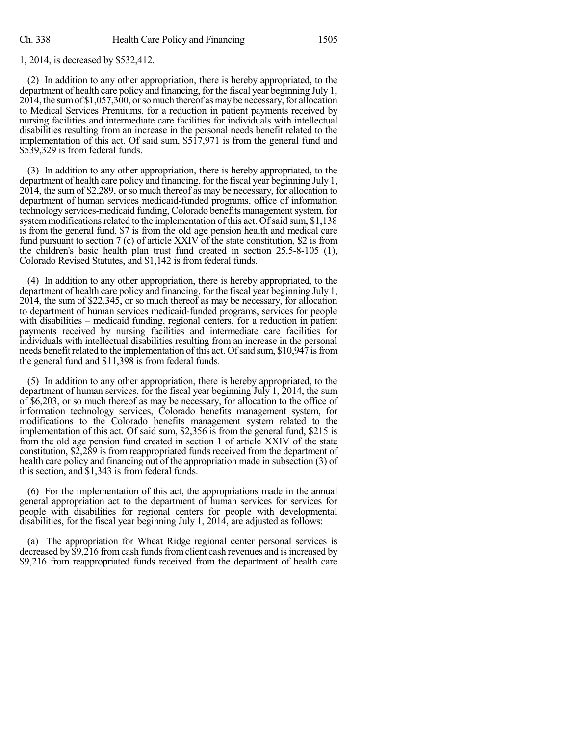1, 2014, is decreased by \$532,412.

(2) In addition to any other appropriation, there is hereby appropriated, to the department of health care policy and financing, forthe fiscal year beginning July 1, 2014, the sum of \$1,057,300, or so much thereof as may be necessary, for allocation to Medical Services Premiums, for a reduction in patient payments received by nursing facilities and intermediate care facilities for individuals with intellectual disabilities resulting from an increase in the personal needs benefit related to the implementation of this act. Of said sum, \$517,971 is from the general fund and \$539,329 is from federal funds.

(3) In addition to any other appropriation, there is hereby appropriated, to the department of health care policy and financing, for the fiscal year beginning July 1, 2014, the sum of \$2,289, or so much thereof as may be necessary, for allocation to department of human services medicaid-funded programs, office of information technology services-medicaid funding, Colorado benefits management system, for system modifications related to the implementation of this act. Of said sum, \$1,138 is from the general fund, \$7 is from the old age pension health and medical care fund pursuant to section 7 (c) of article XXIV of the state constitution, \$2 is from the children's basic health plan trust fund created in section 25.5-8-105 (1), Colorado Revised Statutes, and \$1,142 is from federal funds.

(4) In addition to any other appropriation, there is hereby appropriated, to the department of health care policy and financing, for the fiscal year beginning July 1, 2014, the sum of \$22,345, or so much thereof as may be necessary, for allocation to department of human services medicaid-funded programs, services for people with disabilities – medicaid funding, regional centers, for a reduction in patient payments received by nursing facilities and intermediate care facilities for individuals with intellectual disabilities resulting from an increase in the personal needs benefit related to the implementation of this act. Of said sum, \$10,947 is from the general fund and \$11,398 is from federal funds.

(5) In addition to any other appropriation, there is hereby appropriated, to the department of human services, for the fiscal year beginning July 1, 2014, the sum of \$6,203, or so much thereof as may be necessary, for allocation to the office of information technology services, Colorado benefits management system, for modifications to the Colorado benefits management system related to the implementation of this act. Of said sum, \$2,356 is from the general fund, \$215 is from the old age pension fund created in section 1 of article XXIV of the state constitution, \$2,289 is from reappropriated funds received from the department of health care policy and financing out of the appropriation made in subsection (3) of this section, and \$1,343 is from federal funds.

(6) For the implementation of this act, the appropriations made in the annual general appropriation act to the department of human services for services for people with disabilities for regional centers for people with developmental disabilities, for the fiscal year beginning July 1, 2014, are adjusted as follows:

(a) The appropriation for Wheat Ridge regional center personal services is decreased by \$9,216 from cash funds from client cash revenues and is increased by \$9,216 from reappropriated funds received from the department of health care